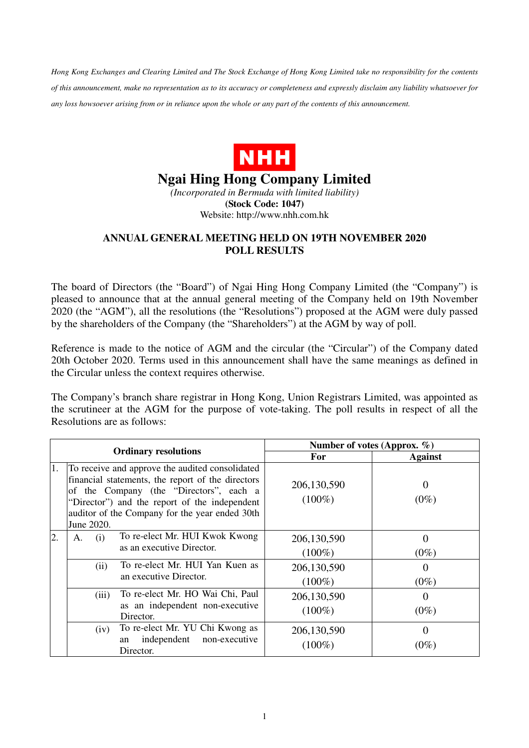*Hong Kong Exchanges and Clearing Limited and The Stock Exchange of Hong Kong Limited take no responsibility for the contents of this announcement, make no representation as to its accuracy or completeness and expressly disclaim any liability whatsoever for any loss howsoever arising from or in reliance upon the whole or any part of the contents of this announcement.* 



## **Ngai Hing Hong Company Limited**

*(Incorporated in Bermuda with limited liability)*  **(Stock Code: 1047)**  Website: http://www.nhh.com.hk

## **ANNUAL GENERAL MEETING HELD ON 19TH NOVEMBER 2020 POLL RESULTS**

The board of Directors (the "Board") of Ngai Hing Hong Company Limited (the "Company") is pleased to announce that at the annual general meeting of the Company held on 19th November 2020 (the "AGM"), all the resolutions (the "Resolutions") proposed at the AGM were duly passed by the shareholders of the Company (the "Shareholders") at the AGM by way of poll.

Reference is made to the notice of AGM and the circular (the "Circular") of the Company dated 20th October 2020. Terms used in this announcement shall have the same meanings as defined in the Circular unless the context requires otherwise.

The Company's branch share registrar in Hong Kong, Union Registrars Limited, was appointed as the scrutineer at the AGM for the purpose of vote-taking. The poll results in respect of all the Resolutions are as follows:

| <b>Ordinary resolutions</b> |                                                                                                                                                                                                                                                                  | Number of votes (Approx. %) |                     |
|-----------------------------|------------------------------------------------------------------------------------------------------------------------------------------------------------------------------------------------------------------------------------------------------------------|-----------------------------|---------------------|
|                             |                                                                                                                                                                                                                                                                  | <b>For</b>                  | <b>Against</b>      |
| 1.                          | To receive and approve the audited consolidated<br>financial statements, the report of the directors<br>of the Company (the "Directors", each a<br>"Director") and the report of the independent<br>auditor of the Company for the year ended 30th<br>June 2020. | 206,130,590<br>$(100\%)$    | $\Omega$<br>$(0\%)$ |
| 2.                          | To re-elect Mr. HUI Kwok Kwong<br>(i)<br>A.<br>as an executive Director.                                                                                                                                                                                         | 206,130,590<br>$(100\%)$    | $\Omega$<br>$(0\%)$ |
|                             | To re-elect Mr. HUI Yan Kuen as<br>(ii)<br>an executive Director.                                                                                                                                                                                                | 206,130,590<br>$(100\%)$    | $\Omega$<br>$(0\%)$ |
|                             | To re-elect Mr. HO Wai Chi, Paul<br>(iii)<br>as an independent non-executive<br>Director.                                                                                                                                                                        | 206,130,590<br>$(100\%)$    | $\Omega$<br>$(0\%)$ |
|                             | To re-elect Mr. YU Chi Kwong as<br>(iv)<br>independent<br>non-executive<br>an<br>Director.                                                                                                                                                                       | 206,130,590<br>$(100\%)$    | $\Omega$<br>$(0\%)$ |